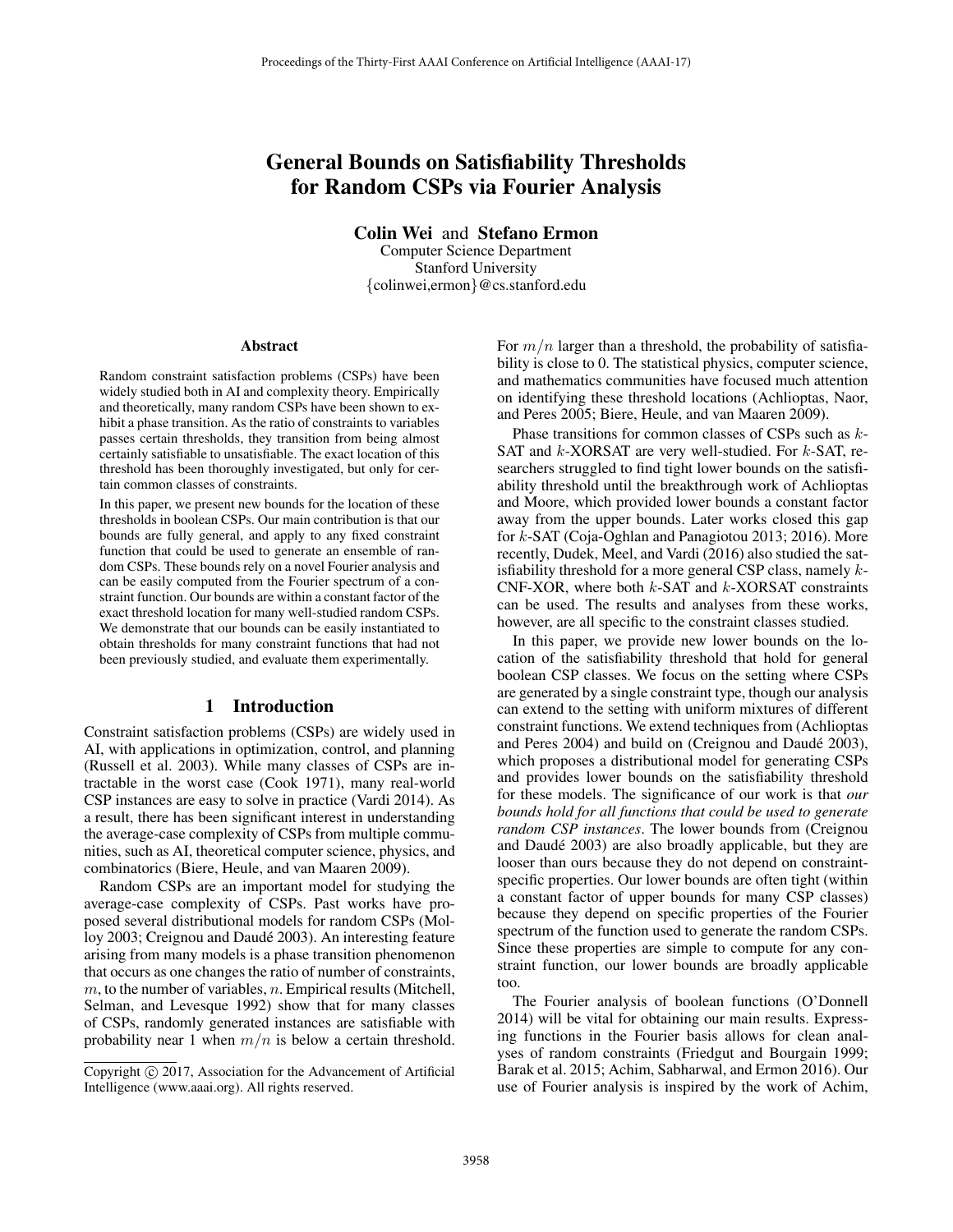# General Bounds on Satisfiability Thresholds for Random CSPs via Fourier Analysis

Colin Wei and Stefano Ermon

Computer Science Department Stanford University {colinwei,ermon}@cs.stanford.edu

#### Abstract

Random constraint satisfaction problems (CSPs) have been widely studied both in AI and complexity theory. Empirically and theoretically, many random CSPs have been shown to exhibit a phase transition. As the ratio of constraints to variables passes certain thresholds, they transition from being almost certainly satisfiable to unsatisfiable. The exact location of this threshold has been thoroughly investigated, but only for certain common classes of constraints.

In this paper, we present new bounds for the location of these thresholds in boolean CSPs. Our main contribution is that our bounds are fully general, and apply to any fixed constraint function that could be used to generate an ensemble of random CSPs. These bounds rely on a novel Fourier analysis and can be easily computed from the Fourier spectrum of a constraint function. Our bounds are within a constant factor of the exact threshold location for many well-studied random CSPs. We demonstrate that our bounds can be easily instantiated to obtain thresholds for many constraint functions that had not been previously studied, and evaluate them experimentally.

### 1 Introduction

Constraint satisfaction problems (CSPs) are widely used in AI, with applications in optimization, control, and planning (Russell et al. 2003). While many classes of CSPs are intractable in the worst case (Cook 1971), many real-world CSP instances are easy to solve in practice (Vardi 2014). As a result, there has been significant interest in understanding the average-case complexity of CSPs from multiple communities, such as AI, theoretical computer science, physics, and combinatorics (Biere, Heule, and van Maaren 2009).

Random CSPs are an important model for studying the average-case complexity of CSPs. Past works have proposed several distributional models for random CSPs (Molloy 2003; Creignou and Daudé 2003). An interesting feature arising from many models is a phase transition phenomenon that occurs as one changes the ratio of number of constraints,  $m$ , to the number of variables,  $n$ . Empirical results (Mitchell, Selman, and Levesque 1992) show that for many classes of CSPs, randomly generated instances are satisfiable with probability near 1 when  $m/n$  is below a certain threshold.

For  $m/n$  larger than a threshold, the probability of satisfiability is close to 0. The statistical physics, computer science, and mathematics communities have focused much attention on identifying these threshold locations (Achlioptas, Naor, and Peres 2005; Biere, Heule, and van Maaren 2009).

Phase transitions for common classes of CSPs such as k-SAT and  $k$ -XORSAT are very well-studied. For  $k$ -SAT, researchers struggled to find tight lower bounds on the satisfiability threshold until the breakthrough work of Achlioptas and Moore, which provided lower bounds a constant factor away from the upper bounds. Later works closed this gap for k-SAT (Coja-Oghlan and Panagiotou 2013; 2016). More recently, Dudek, Meel, and Vardi (2016) also studied the satisfiability threshold for a more general CSP class, namely  $k$ - $CNF-XOR$ , where both  $k$ -SAT and  $k$ -XORSAT constraints can be used. The results and analyses from these works, however, are all specific to the constraint classes studied.

In this paper, we provide new lower bounds on the location of the satisfiability threshold that hold for general boolean CSP classes. We focus on the setting where CSPs are generated by a single constraint type, though our analysis can extend to the setting with uniform mixtures of different constraint functions. We extend techniques from (Achlioptas and Peres 2004) and build on (Creignou and Daudé 2003), which proposes a distributional model for generating CSPs and provides lower bounds on the satisfiability threshold for these models. The significance of our work is that *our bounds hold for all functions that could be used to generate random CSP instances*. The lower bounds from (Creignou and Daudé 2003) are also broadly applicable, but they are looser than ours because they do not depend on constraintspecific properties. Our lower bounds are often tight (within a constant factor of upper bounds for many CSP classes) because they depend on specific properties of the Fourier spectrum of the function used to generate the random CSPs. Since these properties are simple to compute for any constraint function, our lower bounds are broadly applicable too.

The Fourier analysis of boolean functions (O'Donnell 2014) will be vital for obtaining our main results. Expressing functions in the Fourier basis allows for clean analyses of random constraints (Friedgut and Bourgain 1999; Barak et al. 2015; Achim, Sabharwal, and Ermon 2016). Our use of Fourier analysis is inspired by the work of Achim,

Copyright  $\odot$  2017, Association for the Advancement of Artificial Intelligence (www.aaai.org). All rights reserved.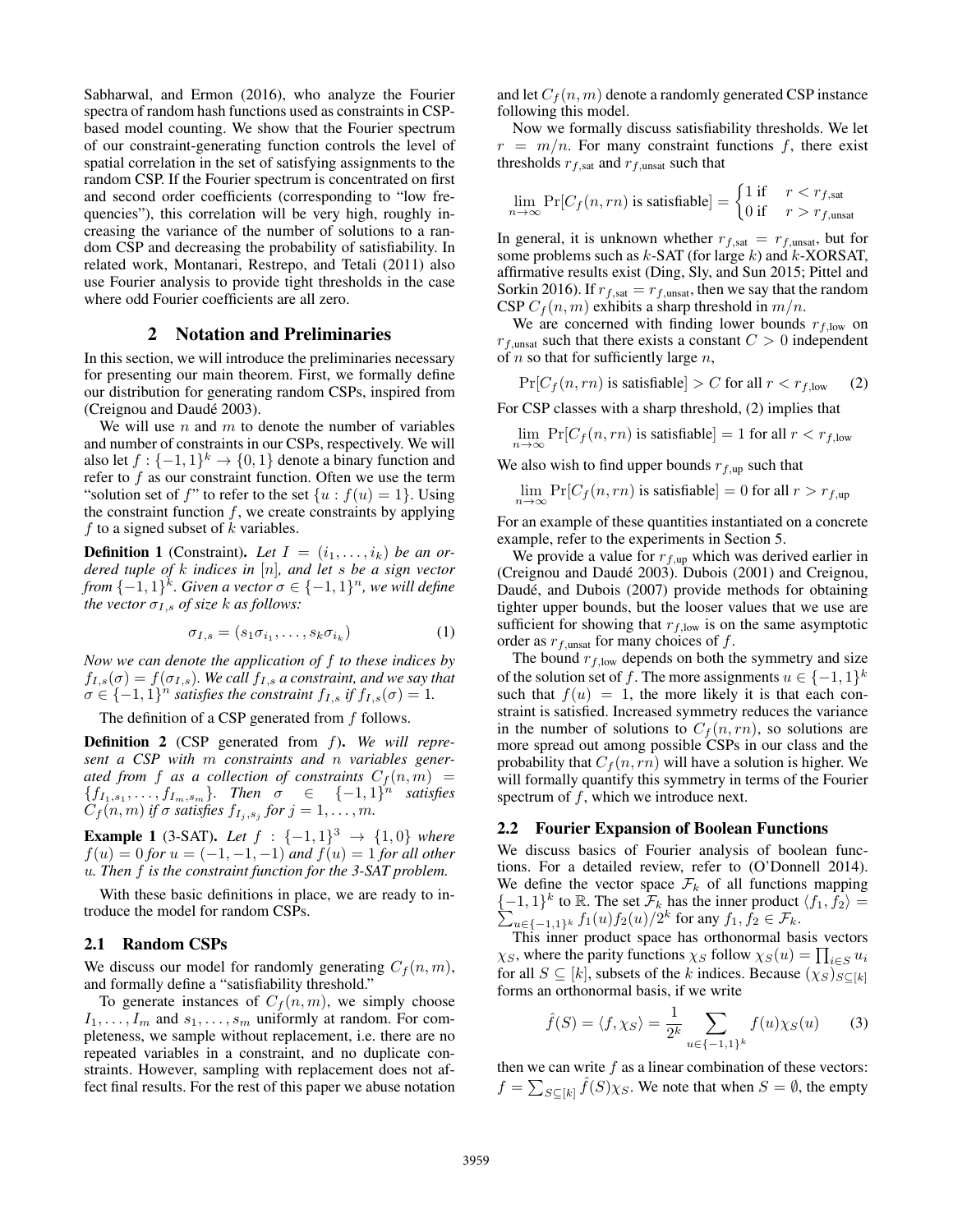Sabharwal, and Ermon (2016), who analyze the Fourier spectra of random hash functions used as constraints in CSPbased model counting. We show that the Fourier spectrum of our constraint-generating function controls the level of spatial correlation in the set of satisfying assignments to the random CSP. If the Fourier spectrum is concentrated on first and second order coefficients (corresponding to "low frequencies"), this correlation will be very high, roughly increasing the variance of the number of solutions to a random CSP and decreasing the probability of satisfiability. In related work, Montanari, Restrepo, and Tetali (2011) also use Fourier analysis to provide tight thresholds in the case where odd Fourier coefficients are all zero.

## 2 Notation and Preliminaries

In this section, we will introduce the preliminaries necessary for presenting our main theorem. First, we formally define our distribution for generating random CSPs, inspired from (Creignou and Daudé 2003).

We will use  $n$  and  $m$  to denote the number of variables and number of constraints in our CSPs, respectively. We will also let  $f: \{-1, 1\}^k \rightarrow \{0, 1\}$  denote a binary function and refer to  $f$  as our constraint function. Often we use the term "solution set of f" to refer to the set  $\{u : f(u)=1\}$ . Using the constraint function  $f$ , we create constraints by applying f to a signed subset of  $k$  variables.

**Definition 1** (Constraint). Let  $I = (i_1, \ldots, i_k)$  be an or*dered tuple of* k *indices in* [n]*, and let* s *be a sign vector from*  $\{-1,1\}^k$ *. Given a vector*  $\sigma \in \{-1,1\}^n$ *, we will define the vector*  $\sigma_{I,s}$  *of size k as follows:* 

$$
\sigma_{I,s} = (s_1 \sigma_{i_1}, \dots, s_k \sigma_{i_k})
$$
 (1)

*Now we can denote the application of* f *to these indices by*  $f_{I,s}(\sigma) = f(\sigma_{I,s})$ *. We call*  $f_{I,s}$  *a constraint, and we say that*  $\sigma \in \{-1,1\}^n$  *satisfies the constraint*  $f_{I,s}$  *if*  $f_{I,s}(\sigma)=1$ *.* 

The definition of a CSP generated from  $f$  follows.

Definition 2 (CSP generated from f). *We will represent a CSP with* m *constraints and* n *variables generated from* f *as a collection of constraints*  $C_f(n,m)$  =  ${f_{I_1,s_1}, \ldots, f_{I_m,s_m}}$ *. Then*  $\sigma \in {-1,1}^n$  *satisfies*<br> $C_{\epsilon}(n, m)$  if  $\sigma$  satisfies  $f_{I_{\epsilon}}$  for  $i = 1 - m$  $C_f(n, m)$  *if*  $\sigma$  *satisfies*  $f_{I_j, s_j}$  *for*  $j = 1, \ldots, m$ *.* 

**Example 1** (3-SAT). Let  $f : \{-1, 1\}^3 \rightarrow \{1, 0\}$  where  $f(u) = 0$  *for*  $u = (-1, -1, -1)$  *and*  $f(u) = 1$  *for all other* u*. Then* f *is the constraint function for the 3-SAT problem.*

With these basic definitions in place, we are ready to introduce the model for random CSPs.

#### 2.1 Random CSPs

We discuss our model for randomly generating  $C_f(n, m)$ , and formally define a "satisfiability threshold."

To generate instances of  $C_f(n,m)$ , we simply choose  $I_1, \ldots, I_m$  and  $s_1, \ldots, s_m$  uniformly at random. For completeness, we sample without replacement, i.e. there are no repeated variables in a constraint, and no duplicate constraints. However, sampling with replacement does not affect final results. For the rest of this paper we abuse notation

and let  $C_f(n, m)$  denote a randomly generated CSP instance following this model.

Now we formally discuss satisfiability thresholds. We let  $r = m/n$ . For many constraint functions f, there exist thresholds  $r_{f,\text{sat}}$  and  $r_{f,\text{unsat}}$  such that

$$
\lim_{n \to \infty} \Pr[C_f(n, rn) \text{ is satisfiable}] = \begin{cases} 1 \text{ if } & r < r_{f,\text{sat}} \\ 0 \text{ if } & r > r_{f,\text{unsat}} \end{cases}
$$

In general, it is unknown whether  $r_{f,\text{sat}} = r_{f,\text{unsat}}$ , but for some problems such as  $k$ -SAT (for large  $k$ ) and  $k$ -XORSAT, affirmative results exist (Ding, Sly, and Sun 2015; Pittel and Sorkin 2016). If  $r_{f, \text{sat}} = r_{f, \text{unsat}}$ , then we say that the random CSP  $C_f(n, m)$  exhibits a sharp threshold in  $m/n$ .

We are concerned with finding lower bounds  $r_{f, \text{low}}$  on  $r_{f,unsat}$  such that there exists a constant  $C > 0$  independent of  $n$  so that for sufficiently large  $n$ ,

 $Pr[C_f(n, rn) \text{ is satisfiable}] > C \text{ for all } r < r_{f,\text{low}}$  (2)

For CSP classes with a sharp threshold, (2) implies that

$$
\lim_{n \to \infty} \Pr[C_f(n, rn) \text{ is satisfiable}] = 1 \text{ for all } r < r_{f, \text{low}}
$$

We also wish to find upper bounds 
$$
r_{f,\text{up}}
$$
 such that  
\n
$$
\lim_{n \to \infty} \Pr[C_f(n, rn) \text{ is satisfiable}] = 0 \text{ for all } r > r_{f,\text{up}}
$$

For an example of these quantities instantiated on a concrete example, refer to the experiments in Section 5.

We provide a value for  $r_{f,\text{up}}$  which was derived earlier in (Creignou and Daudé 2003). Dubois (2001) and Creignou, Daudé, and Dubois (2007) provide methods for obtaining tighter upper bounds, but the looser values that we use are sufficient for showing that  $r_{f,low}$  is on the same asymptotic order as  $r_{f,\text{unsat}}$  for many choices of f.

The bound  $r_{f,low}$  depends on both the symmetry and size of the solution set of f. The more assignments  $u \in \{-1,1\}^k$ such that  $f(u) = 1$ , the more likely it is that each constraint is satisfied. Increased symmetry reduces the variance in the number of solutions to  $C_f(n, rn)$ , so solutions are more spread out among possible CSPs in our class and the probability that  $C_f(n, rn)$  will have a solution is higher. We will formally quantify this symmetry in terms of the Fourier spectrum of  $f$ , which we introduce next.

#### 2.2 Fourier Expansion of Boolean Functions

We discuss basics of Fourier analysis of boolean functions. For a detailed review, refer to (O'Donnell 2014). We define the vector space  $\mathcal{F}_k$  of all functions mapping  ${-1, 1}^k$  to R. The set  $\mathcal{F}_k$  has the inner product  $\langle f_1, f_2 \rangle = \sum_{u \in \{-1, 1\}^k} f_1(u) f_2(u)/2^k$  for any  $f_1, f_2 \in \mathcal{F}_k$ .  $u \in \{-1,1\}^k$   $f_1(u) f_2(u)/2^k$  for any  $f_1, f_2 \in \mathcal{F}_k$ .<br>This inner product space has orthonormal ba

This inner product space has orthonormal basis vectors  $\chi_S$ , where the parity functions  $\chi_S$  follow  $\chi_S(u) = \prod_{i \in S} u_i$ <br>for all  $S \subset [k]$  subsets of the k indices. Because  $(\chi_S)_{\sigma \in \mathbb{N}}$ for all  $S \subseteq [k]$ , subsets of the k indices. Because  $(\chi_S)_{S \subseteq [k]}$ forms an orthonormal basis, if we write

$$
\hat{f}(S) = \langle f, \chi_S \rangle = \frac{1}{2^k} \sum_{u \in \{-1, 1\}^k} f(u) \chi_S(u) \tag{3}
$$

then we can write  $f$  as a linear combination of these vectors:  $f = \sum_{S \subseteq [k]} f(S) \chi_S$ . We note that when  $S = \emptyset$ , the empty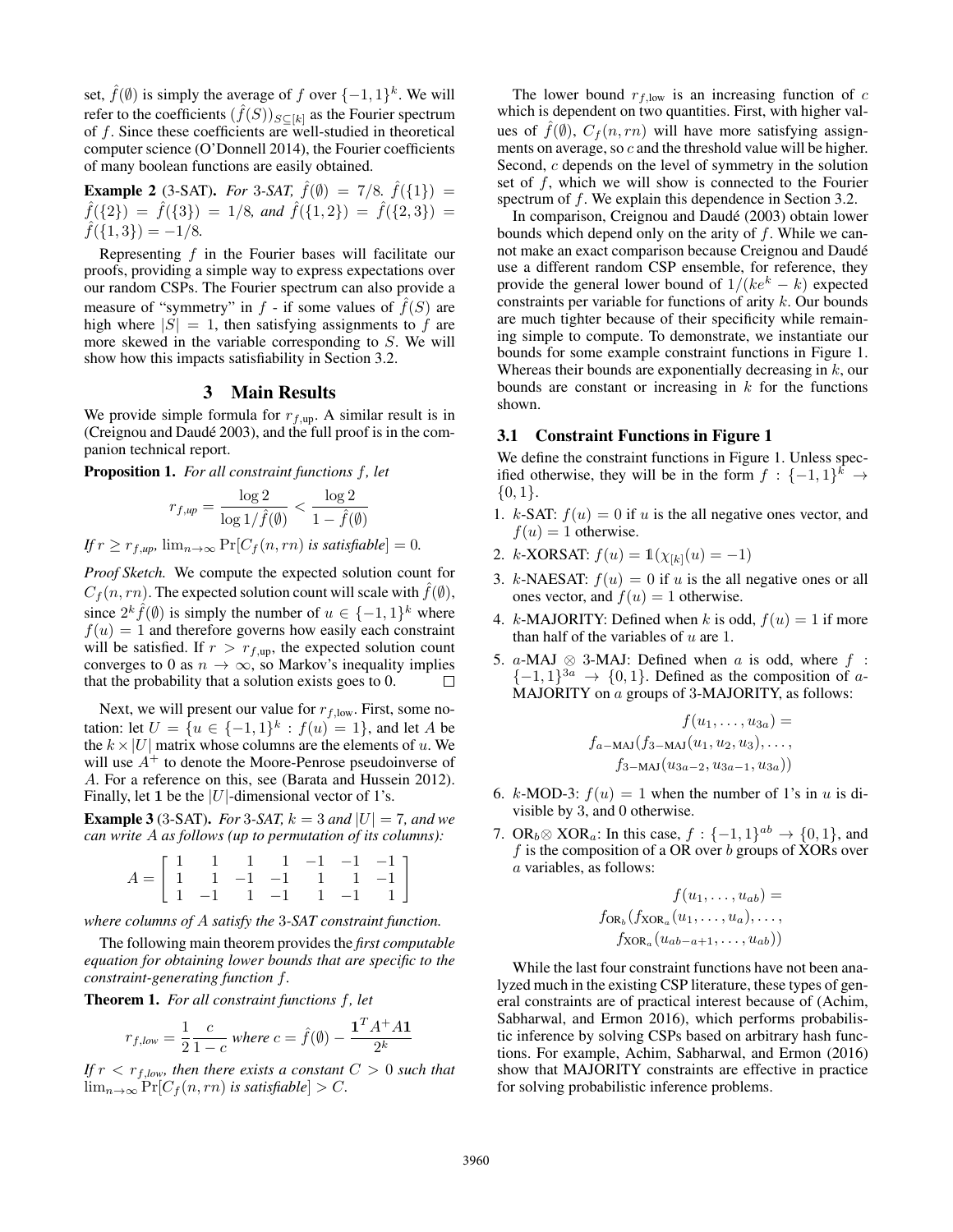set,  $\hat{f}(\emptyset)$  is simply the average of f over  $\{-1, 1\}^k$ . We will refer to the coefficients  $(f(S))_{S\subseteq[k]}$  as the Fourier spectrum of f. Since these coefficients are well-studied in theoretical computer science (O'Donnell 2014), the Fourier coefficients of many boolean functions are easily obtained.

**Example 2** (3-SAT). *For* 3-SAT,  $\hat{f}(\emptyset) = 7/8$ .  $\hat{f}(\{1\}) =$  $\hat{f}(\{2\}) = \hat{f}(\{3\}) = 1/8$ *, and*  $\hat{f}(\{1,2\}) = \hat{f}(\{2,3\}) =$  $\hat{f}(\{1,3\}) = -1/8.$ 

Representing f in the Fourier bases will facilitate our proofs, providing a simple way to express expectations over our random CSPs. The Fourier spectrum can also provide a measure of "symmetry" in f - if some values of  $\hat{f}(S)$  are high where  $|S| = 1$ , then satisfying assignments to f are more skewed in the variable corresponding to S. We will show how this impacts satisfiability in Section 3.2.

## 3 Main Results

We provide simple formula for  $r_{f,up}$ . A similar result is in (Creignou and Daudé 2003), and the full proof is in the companion technical report.

Proposition 1. *For all constraint functions* f*, let*

$$
r_{f,\text{up}} = \frac{\log 2}{\log 1/\hat{f}(\emptyset)} < \frac{\log 2}{1 - \hat{f}(\emptyset)}
$$

 $\iint r \geq r_{f,up}$ ,  $\lim_{n\to\infty} \Pr[C_f(n, rn) \text{ is satisfiable}] = 0.$ 

*Proof Sketch.* We compute the expected solution count for  $C_f(n, rn)$ . The expected solution count will scale with  $\hat{f}(\emptyset)$ , since  $2^{k} \hat{f}(\emptyset)$  is simply the number of  $u \in \{-1,1\}^{k}$  where  $f(u)=1$  and therefore governs how easily each constraint will be satisfied. If  $r>r_{f,\text{up}}$ , the expected solution count converges to 0 as  $n \to \infty$ , so Markov's inequality implies that the probability that a solution exists goes to 0.

Next, we will present our value for  $r_{f,low}$ . First, some notation: let  $U = \{u \in \{-1,1\}^k : f(u) = 1\}$ , and let A be the  $k \times |U|$  matrix whose columns are the elements of u. We will use  $A<sup>+</sup>$  to denote the Moore-Penrose pseudoinverse of A. For a reference on this, see (Barata and Hussein 2012). Finally, let 1 be the  $|U|$ -dimensional vector of 1's.

**Example 3** (3-SAT). *For* 3-SAT,  $k = 3$  *and*  $|U| = 7$ *, and we can write* A *as follows (up to permutation of its columns):*

$$
A = \left[ \begin{array}{rrrrrr} 1 & 1 & 1 & -1 & -1 & -1 \\ 1 & 1 & -1 & -1 & 1 & 1 & -1 \\ 1 & -1 & 1 & -1 & 1 & -1 & 1 \end{array} \right]
$$

*where columns of* A *satisfy the* 3*-SAT constraint function.*

The following main theorem provides the *first computable equation for obtaining lower bounds that are specific to the constraint-generating function* f*.*

Theorem 1. *For all constraint functions* f*, let*

$$
r_{f,low} = \frac{1}{2} \frac{c}{1-c} \text{ where } c = \hat{f}(\emptyset) - \frac{\mathbf{1}^T A^+ A \mathbf{1}}{2^k}
$$

*If*  $r < r_{f,low}$ , then there exists a constant  $C > 0$  such that  $\lim_{n \to \infty} \Pr[C_f(n, rn)]$  is satisfiable  $\geq C$  $\lim_{n\to\infty} \Pr[C_f(n, rn) \text{ is satisfiable}] > C.$ 

The lower bound  $r_{f,low}$  is an increasing function of c which is dependent on two quantities. First, with higher values of  $\tilde{f}(\emptyset)$ ,  $C_f(n, rn)$  will have more satisfying assignments on average, so c and the threshold value will be higher. Second, c depends on the level of symmetry in the solution set of  $f$ , which we will show is connected to the Fourier spectrum of f. We explain this dependence in Section 3.2.

In comparison, Creignou and Daudé (2003) obtain lower bounds which depend only on the arity of f. While we cannot make an exact comparison because Creignou and Daude´ use a different random CSP ensemble, for reference, they provide the general lower bound of  $1/(ke^k - k)$  expected constraints per variable for functions of arity  $k$ . Our bounds are much tighter because of their specificity while remaining simple to compute. To demonstrate, we instantiate our bounds for some example constraint functions in Figure 1. Whereas their bounds are exponentially decreasing in  $k$ , our bounds are constant or increasing in  $k$  for the functions shown.

### 3.1 Constraint Functions in Figure 1

We define the constraint functions in Figure 1. Unless specified otherwise, they will be in the form  $f : \{-1,1\}^k \rightarrow$  $\{0,1\}.$ 

- 1. k-SAT:  $f(u)=0$  if u is the all negative ones vector, and  $f(u)=1$  otherwise.
- 2. k-XORSAT:  $f(u) = 1(\chi_{[k]}(u) = -1)$
- 3. k-NAESAT:  $f(u) = 0$  if u is the all negative ones or all ones vector, and  $f(u)=1$  otherwise.
- 4. k-MAJORITY: Defined when k is odd,  $f(u)=1$  if more than half of the variables of  $u$  are 1.
- 5. a-MAJ  $\otimes$  3-MAJ: Defined when a is odd, where f:  ${-1, 1}^{3a} \rightarrow {0, 1}$ . Defined as the composition of a-MAJORITY on a groups of 3-MAJORITY, as follows:

$$
f(u_1, \ldots, u_{3a}) =
$$
  

$$
f_{a-\text{MAJ}}(f_{3-\text{MAJ}}(u_1, u_2, u_3), \ldots, f_{3-\text{MAJ}}(u_{3a-2}, u_{3a-1}, u_{3a}))
$$

- 6. k-MOD-3:  $f(u)=1$  when the number of 1's in u is divisible by 3, and 0 otherwise.
- 7. OR<sub>b</sub>⊗ XOR<sub>a</sub>: In this case,  $f : \{-1, 1\}^{ab} \rightarrow \{0, 1\}$ , and f is the composition of a OR over  $b$  groups of XORs over a variables, as follows:

$$
f(u_1, \ldots, u_{ab}) =
$$
  

$$
f_{OR_b}(f_{XOR_a}(u_1, \ldots, u_a), \ldots, f_{XOR_a}(u_{ab-a+1}, \ldots, u_{ab}))
$$

While the last four constraint functions have not been analyzed much in the existing CSP literature, these types of general constraints are of practical interest because of (Achim, Sabharwal, and Ermon 2016), which performs probabilistic inference by solving CSPs based on arbitrary hash functions. For example, Achim, Sabharwal, and Ermon (2016) show that MAJORITY constraints are effective in practice for solving probabilistic inference problems.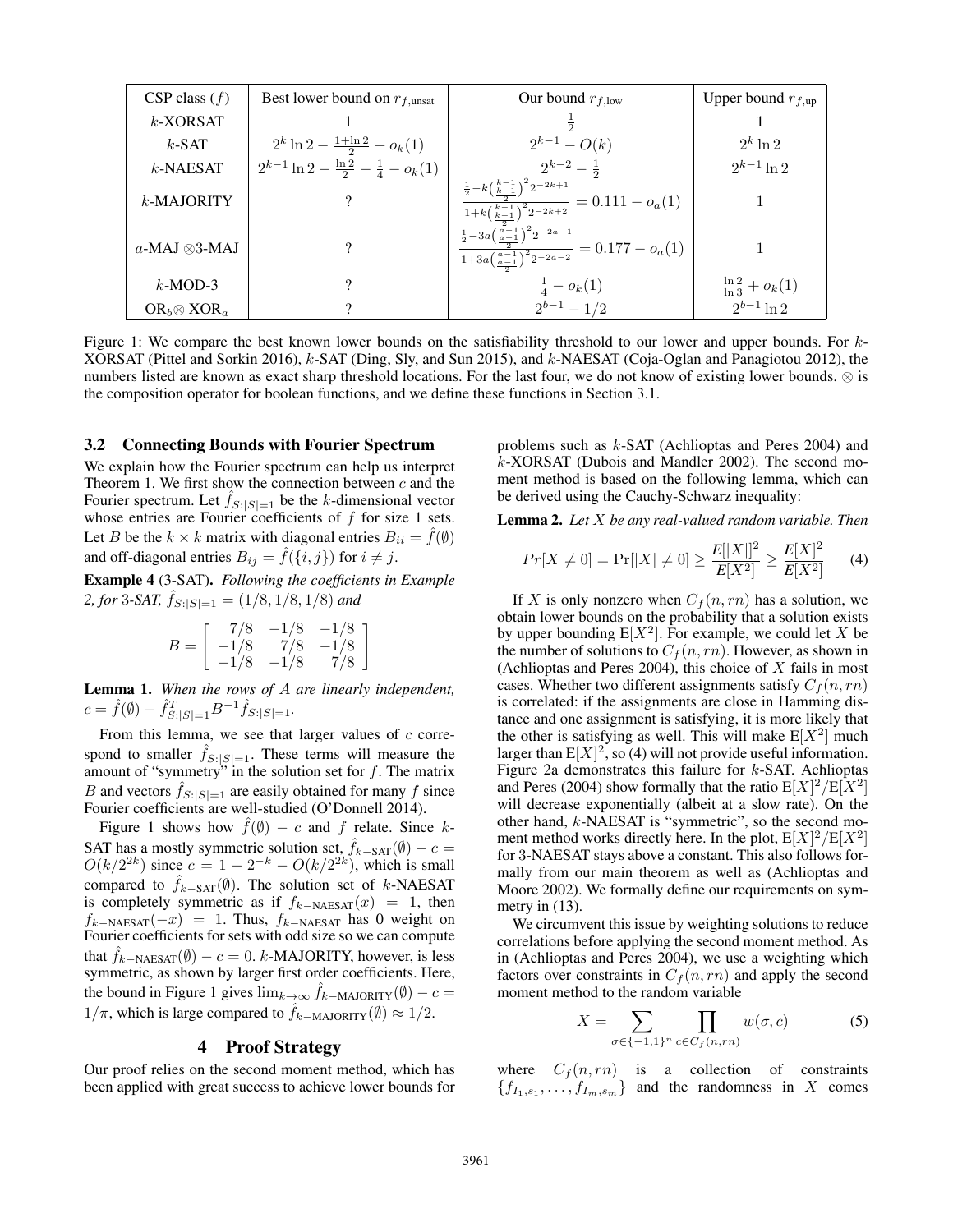| CSP class $(f)$       | Best lower bound on $r_{f,\text{unsat}}$                | Our bound $r_{f, \text{low}}$                                                                                                                                                               | Upper bound $r_{f,\text{up}}$  |
|-----------------------|---------------------------------------------------------|---------------------------------------------------------------------------------------------------------------------------------------------------------------------------------------------|--------------------------------|
| $k$ -XORSAT           |                                                         |                                                                                                                                                                                             |                                |
| $k$ -SAT              | $2^k \ln 2 - \frac{1 + \ln 2}{2} - o_k(1)$              | $2^{k-1} - O(k)$                                                                                                                                                                            | $2^k \ln 2$                    |
| $k$ -NAESAT           | $2^{k-1}\ln 2 - \frac{\ln 2}{2} - \frac{1}{4} - o_k(1)$ |                                                                                                                                                                                             | $2^{k-1} \ln 2$                |
| $k$ -MAJORITY         |                                                         | $\begin{array}{ c } \hline & 2^{k-2}-\frac{1}{2} \\\frac{\frac{1}{2}-k\left(\frac{k-1}{2}\right)^2 2^{-2k+1}}{1+k\left(\frac{k-1}{2}\right)^2 2^{-2k+2}}=0.111-o_a(1) \\\hline \end{array}$ |                                |
| a-MAJ $\otimes$ 3-MAJ |                                                         | $\frac{\frac{1}{2}-3a\left(\frac{a-1}{a-1}\right)^2 2^{-2a-1}}{1+3a\left(\frac{a-1}{a-1}\right)^2 2^{-2a-2}}=0.177-o_a(1)$                                                                  |                                |
| $k$ -MOD-3            |                                                         | $rac{1}{4} - o_k(1)$                                                                                                                                                                        | $\frac{\ln 2}{\ln 3} + o_k(1)$ |
| $OR_b \otimes XOR_a$  |                                                         | $2^{b-1} - 1/2$                                                                                                                                                                             | $2^{b-1} \ln 2$                |

Figure 1: We compare the best known lower bounds on the satisfiability threshold to our lower and upper bounds. For k-XORSAT (Pittel and Sorkin 2016), k-SAT (Ding, Sly, and Sun 2015), and k-NAESAT (Coja-Oglan and Panagiotou 2012), the numbers listed are known as exact sharp threshold locations. For the last four, we do not know of existing lower bounds. ⊗ is the composition operator for boolean functions, and we define these functions in Section 3.1.

## 3.2 Connecting Bounds with Fourier Spectrum

We explain how the Fourier spectrum can help us interpret Theorem 1. We first show the connection between  $c$  and the Fourier spectrum. Let  $f_{S:|S|=1}$  be the k-dimensional vector whose entries are Fourier coefficients of  $f$  for size 1 sets. Let B be the  $k \times k$  matrix with diagonal entries  $B_{ii} = \hat{f}(\emptyset)$ and off-diagonal entries  $B_{ij} = f(\{i, j\})$  for  $i \neq j$ .

Example 4 (3-SAT). *Following the coefficients in Example* 2, for 3-SAT,  $\hat{f}_{S:|S|=1} = (1/8, 1/8, 1/8)$  and

$$
B = \left[ \begin{array}{rr} 7/8 & -1/8 & -1/8 \\ -1/8 & 7/8 & -1/8 \\ -1/8 & -1/8 & 7/8 \end{array} \right]
$$

**Lemma 1.** When the rows of A are linearly independent,<br> $c = \hat{f}(\emptyset) = \hat{f}^T$   $B^{-1} \hat{f}$  $c = \hat{f}(\emptyset) - \hat{f}_{S:|S|=1}^T B^{-1} \hat{f}_{S:|S|=1}.$ 

From this lemma, we see that larger values of c corre-<br>and to smaller  $\hat{f}$  is a These terms will measure the spond to smaller  $f_{S:|S|=1}$ . These terms will measure the amount of "symmetry" in the solution set for f. The matrix amount of "symmetry" in the solution set for  $f$ . The matrix B and vectors  $f_{S:|S|=1}$  are easily obtained for many f since Fourier coefficients are well-studied (O'Donnell 2014).

Figure 1 shows how  $\hat{f}(\emptyset) - c$  and f relate. Since k-SAT has a mostly symmetric solution set,  $f_{k-SAT}(\emptyset) - c = O(k/2^{2k})$  since  $c = 1 - 2^{-k} - O(k/2^{2k})$  which is small  $O(k/2^{2k})$  since  $c = 1 - 2^{-k} - O(k/2^{2k})$ , which is small<br>compared to  $\hat{f}$  ((a) The solution at of k NAESAT compared to  $f_{k-SAT}(\emptyset)$ . The solution set of k-NAESAT is completely symmetric as if  $f_{k-\text{NAESAT}}(x) = 1$ , then  $f_{k-\text{NAESAT}}(-x) = 1$ . Thus,  $f_{k-\text{NAESAT}}$  has 0 weight on Fourier coefficients for sets with odd size so we can compute that  $f_{k-\text{NAESAT}}(\emptyset) - c = 0$ . k-MAJORITY, however, is less symmetric, as shown by larger first order coefficients. Here, the bound in Figure 1 gives  $\lim_{k\to\infty} \hat{f}_{k-\text{MAJORITY}}(\emptyset) - c =$  $1/\pi$ , which is large compared to  $\hat{f}_{k-\text{MAJORITY}}(\emptyset) \approx 1/2$ .

## 4 Proof Strategy

Our proof relies on the second moment method, which has been applied with great success to achieve lower bounds for

problems such as k-SAT (Achlioptas and Peres 2004) and k-XORSAT (Dubois and Mandler 2002). The second moment method is based on the following lemma, which can be derived using the Cauchy-Schwarz inequality:

Lemma 2. *Let* X *be any real-valued random variable. Then*

$$
Pr[X \neq 0] = Pr[|X| \neq 0] \ge \frac{E[|X|]^2}{E[X^2]} \ge \frac{E[X]^2}{E[X^2]} \tag{4}
$$

If X is only nonzero when  $C_f(n, rn)$  has a solution, we obtain lower bounds on the probability that a solution exists by upper bounding  $E[X^2]$ . For example, we could let X be the number of solutions to  $C_f(n, rn)$ . However, as shown in (Achlioptas and Peres 2004), this choice of  $X$  fails in most cases. Whether two different assignments satisfy  $C_f(n, rn)$ is correlated: if the assignments are close in Hamming distance and one assignment is satisfying, it is more likely that the other is satisfying as well. This will make  $E[X^2]$  much larger than  $E[X]^2$ , so (4) will not provide useful information.<br>Figure 2a demonstrates this failure for k-SAT Achliontas Figure 2a demonstrates this failure for  $k$ -SAT. Achlioptas and Peres (2004) show formally that the ratio  $E[X]^2/E[X^2]$ <br>will decrease exponentially (albeit at a slow rate). On the will decrease exponentially (albeit at a slow rate). On the other hand, k-NAESAT is "symmetric", so the second moment method works directly here. In the plot,  $E[X]^2/E[X^2]$ <br>for 3-NAESAT stays above a constant. This also follows forfor 3-NAESAT stays above a constant. This also follows formally from our main theorem as well as (Achlioptas and Moore 2002). We formally define our requirements on symmetry in (13).

We circumvent this issue by weighting solutions to reduce correlations before applying the second moment method. As in (Achlioptas and Peres 2004), we use a weighting which factors over constraints in  $C_f(n, rn)$  and apply the second moment method to the random variable

$$
X = \sum_{\sigma \in \{-1,1\}^n} \prod_{c \in C_f(n, rn)} w(\sigma, c) \tag{5}
$$

where  $C_f(n, rn)$  is a collection of constraints  ${f_1, s_1, \ldots, f_{I_m, s_m}}$  and the randomness in X comes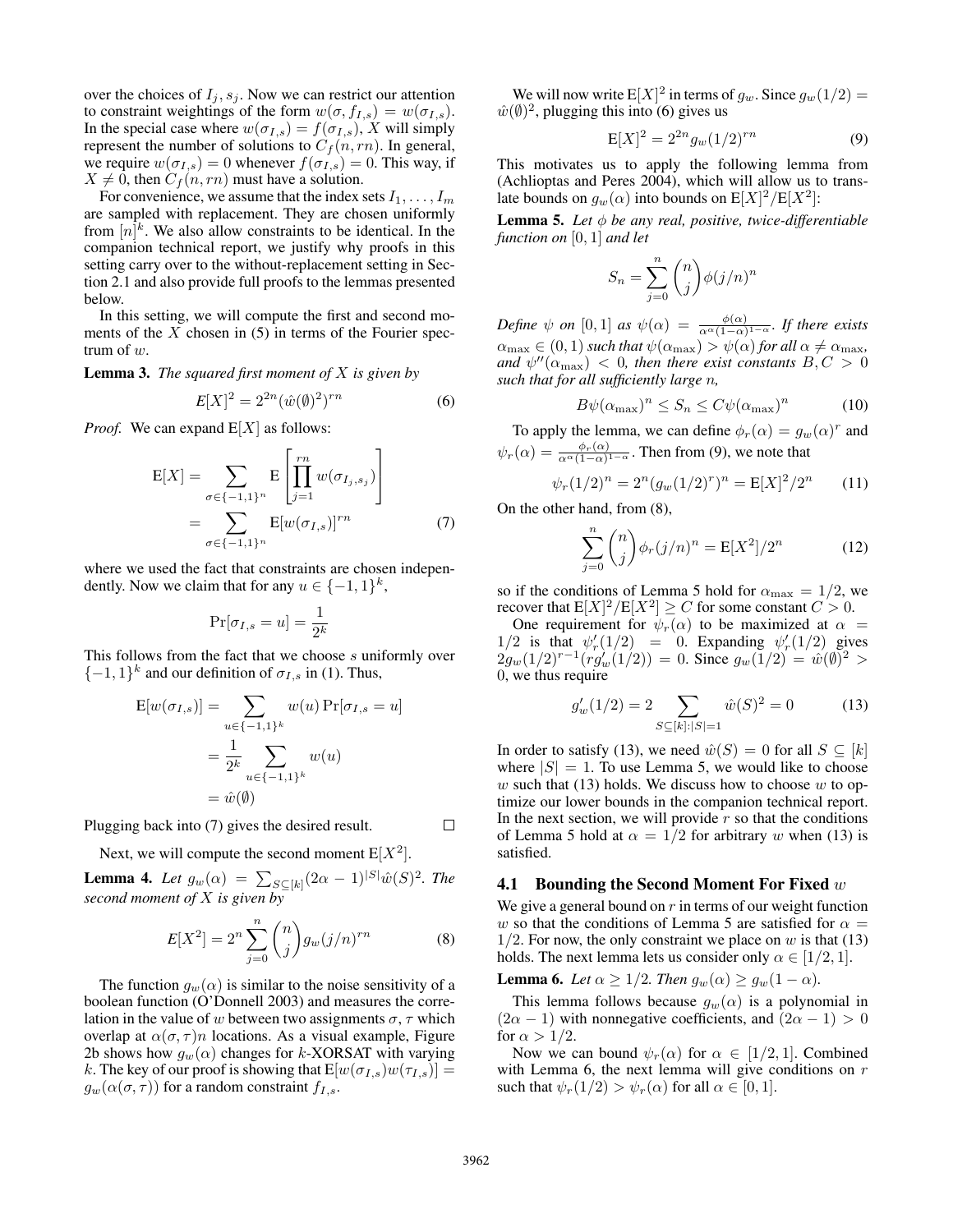over the choices of  $I_i$ ,  $s_j$ . Now we can restrict our attention to constraint weightings of the form  $w(\sigma, f_{I,s}) = w(\sigma_{I,s}).$ In the special case where  $w(\sigma_{I,s}) = f(\sigma_{I,s})$ , X will simply represent the number of solutions to  $C_f(n, rn)$ . In general, we require  $w(\sigma_{I,s})=0$  whenever  $f(\sigma_{I,s})=0$ . This way, if  $X \neq 0$ , then  $C_f(n, rn)$  must have a solution.

For convenience, we assume that the index sets  $I_1, \ldots, I_m$ are sampled with replacement. They are chosen uniformly from  $[n]^k$ . We also allow constraints to be identical. In the companion technical report, we justify why proofs in this companion technical report, we justify why proofs in this setting carry over to the without-replacement setting in Section 2.1 and also provide full proofs to the lemmas presented below.

In this setting, we will compute the first and second moments of the  $X$  chosen in (5) in terms of the Fourier spectrum of w.

Lemma 3. *The squared first moment of* X *is given by*

$$
E[X]^2 = 2^{2n} (\hat{w}(\emptyset)^2)^{rn}
$$
 (6)

*Proof.* We can expand  $E[X]$  as follows:

$$
E[X] = \sum_{\sigma \in \{-1,1\}^n} E\left[\prod_{j=1}^{rn} w(\sigma_{I_j, s_j})\right]
$$
  
= 
$$
\sum_{\sigma \in \{-1,1\}^n} E[w(\sigma_{I,s})]^{rn}
$$
 (7)

where we used the fact that constraints are chosen independently. Now we claim that for any  $u \in \{-1,1\}^k$ ,

$$
\Pr[\sigma_{I,s} = u] = \frac{1}{2^k}
$$

This follows from the fact that we choose s uniformly over  $\{-1, 1\}^k$  and our definition of  $\sigma_{L,s}$  in (1) Thus  $\{-1, 1\}^k$  and our definition of  $\sigma_{I,s}$  in (1). Thus,

$$
E[w(\sigma_{I,s})] = \sum_{u \in \{-1,1\}^k} w(u) Pr[\sigma_{I,s} = u]
$$

$$
= \frac{1}{2^k} \sum_{u \in \{-1,1\}^k} w(u)
$$

$$
= \hat{w}(\emptyset)
$$

Plugging back into (7) gives the desired result.

Next, we will compute the second moment  $E[X^2]$ .

**Lemma 4.** Let  $g_w(\alpha) = \sum_{S \subseteq [k]} (2\alpha - 1)^{|S|} \hat{w}(S)^2$ . The *second moment of* X *is given by*

$$
E[X^2] = 2^n \sum_{j=0}^n \binom{n}{j} g_w(j/n)^{rn}
$$
 (8)

The function  $g_w(\alpha)$  is similar to the noise sensitivity of a boolean function (O'Donnell 2003) and measures the correlation in the value of w between two assignments  $\sigma$ ,  $\tau$  which overlap at  $\alpha(\sigma, \tau)$ n locations. As a visual example, Figure 2b shows how  $g_w(\alpha)$  changes for k-XORSAT with varying k. The key of our proof is showing that  $E[w(\sigma_{I,s})w(\tau_{I,s})] =$  $g_w(\alpha(\sigma,\tau))$  for a random constraint  $f_{I,s}$ .

We will now write  $E[X]^2$  in terms of  $g_w$ . Since  $g_w(1/2) =$ <br>(b)<sup>2</sup> plugging this into (6) gives us  $\hat{w}(0)^2$ , plugging this into (6) gives us

$$
E[X]^2 = 2^{2n} g_w(1/2)^{rn}
$$
 (9)

This motivates us to apply the following lemma from (Achlioptas and Peres 2004), which will allow us to translate bounds on  $g_w(\alpha)$  into bounds on  $E[X]^2/E[X^2]$ :

**Lemma 5.** *Let*  $\phi$  *be any real, positive, twice-differentiable function on* [0, 1] *and let*

$$
S_n = \sum_{j=0}^n \binom{n}{j} \phi(j/n)^n
$$

*Define*  $\psi$  *on* [0, 1] *as*  $\psi(\alpha) = \frac{\phi(\alpha)}{\alpha(1-\alpha)^{1-\alpha}}$ . If there exists  $\alpha_{\max} \in (0, 1)$  *such that*  $\psi(\alpha_{\max}) > \psi(\alpha)$  *for all*  $\alpha \neq \alpha_{\max}$ *, and*  $\psi''(\alpha_{\text{max}}) < 0$ *, then there exist constants*  $B, C > 0$ *such that for all sufficiently large* n*,*

$$
B\psi(\alpha_{\max})^n \le S_n \le C\psi(\alpha_{\max})^n \tag{10}
$$

To apply the lemma, we can define  $\phi_r(\alpha) = g_w(\alpha)^r$  and  $\psi_r(\alpha) = \frac{\phi_r(\alpha)}{\alpha^{\alpha}(1-\alpha)^{1-\alpha}}$ . Then from (9), we note that

$$
\psi_r(1/2)^n = 2^n (g_w(1/2)^r)^n = \mathbb{E}[X]^2/2^n \qquad (11)
$$

On the other hand, from (8),

$$
\sum_{j=0}^{n} {n \choose j} \phi_r(j/n)^n = \mathbb{E}[X^2]/2^n \tag{12}
$$

so if the conditions of Lemma 5 hold for  $\alpha_{\text{max}} = 1/2$ , we recover that  $E[X]^2/E[X^2] \ge C$  for some constant  $C > 0$ .<br>One requirement for  $\psi_{\alpha}(\alpha)$  to be maximized at  $\alpha$ 

One requirement for  $\psi_r(\alpha)$  to be maximized at  $\alpha$  =  $1/2$  is that  $\psi'_r(1/2) = 0$ . Expanding  $\psi'_r(1/2)$  gives  $2a_{r-1}(1/2)^{r-1}(ra'(1/2)) = 0$ . Since  $a_{r-1}(1/2) = \hat{w}(0)^2 > 0$  $2g_w(1/2)^{r-1}(r g'_w(1/2)) = 0$ . Since  $g_w(1/2) = \hat{w}(0)^2 > 0$  we thus require 0, we thus require

$$
g'_{w}(1/2) = 2 \sum_{S \subseteq [k]:|S|=1} \hat{w}(S)^{2} = 0 \tag{13}
$$

In order to satisfy (13), we need  $\hat{w}(S)=0$  for all  $S \subseteq [k]$ where  $|S| = 1$ . To use Lemma 5, we would like to choose w such that  $(13)$  holds. We discuss how to choose w to optimize our lower bounds in the companion technical report. In the next section, we will provide  $r$  so that the conditions of Lemma 5 hold at  $\alpha = 1/2$  for arbitrary w when (13) is satisfied.

#### **4.1 Bounding the Second Moment For Fixed**  $w$

We give a general bound on  $r$  in terms of our weight function w so that the conditions of Lemma 5 are satisfied for  $\alpha =$  $1/2$ . For now, the only constraint we place on w is that (13) holds. The next lemma lets us consider only  $\alpha \in [1/2, 1]$ .

**Lemma 6.** Let  $\alpha \geq 1/2$ . Then  $g_w(\alpha) \geq g_w(1-\alpha)$ .

This lemma follows because  $g_w(\alpha)$  is a polynomial in  $(2\alpha - 1)$  with nonnegative coefficients, and  $(2\alpha - 1) > 0$ for  $\alpha > 1/2$ .

Now we can bound  $\psi_r(\alpha)$  for  $\alpha \in [1/2, 1]$ . Combined with Lemma 6, the next lemma will give conditions on  $r$ such that  $\psi_r(1/2) > \psi_r(\alpha)$  for all  $\alpha \in [0, 1]$ .

 $\Box$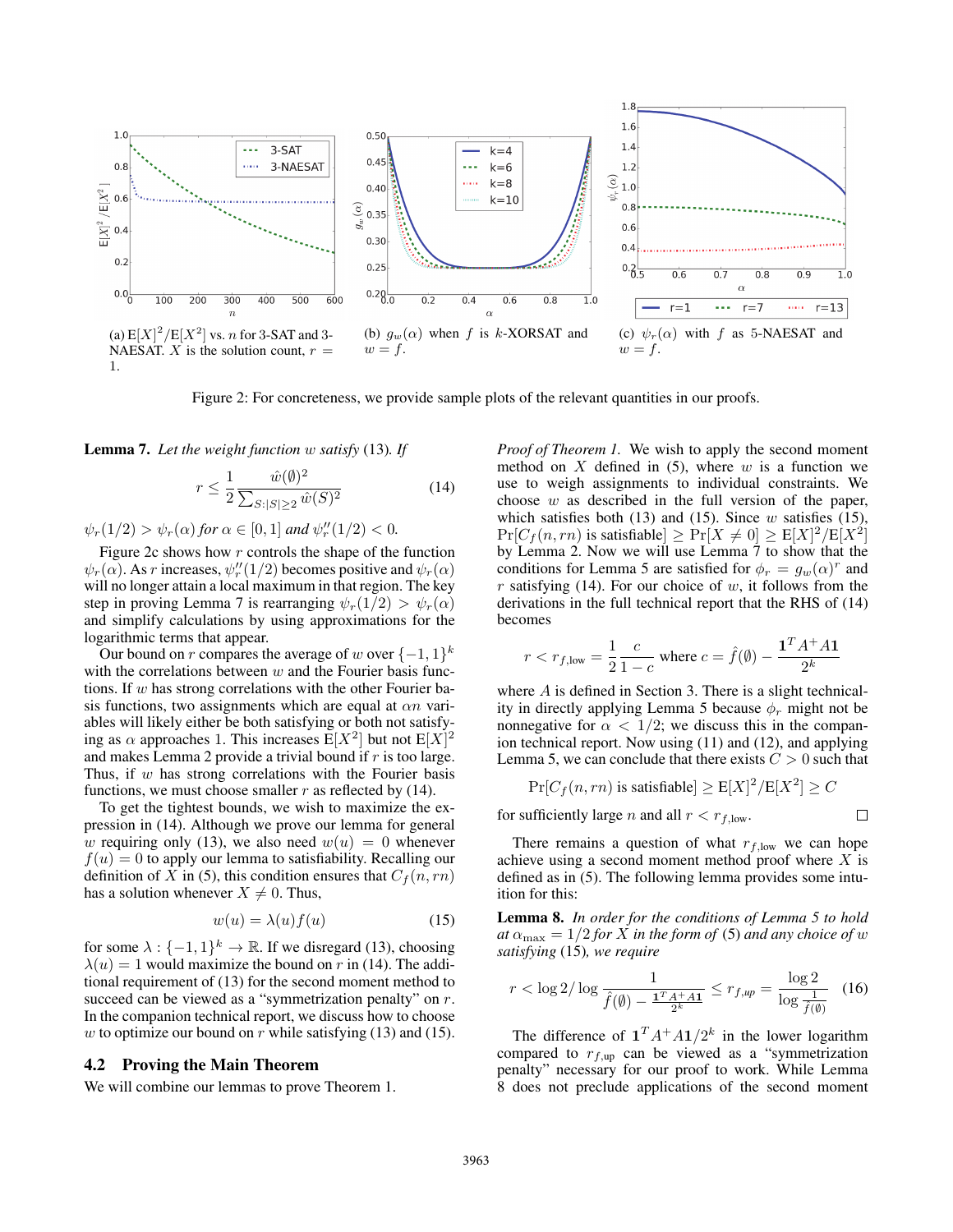

Figure 2: For concreteness, we provide sample plots of the relevant quantities in our proofs.

Lemma 7. *Let the weight function* w *satisfy* (13)*. If*

$$
r \le \frac{1}{2} \frac{\hat{w}(\emptyset)^2}{\sum_{S:|S| \ge 2} \hat{w}(S)^2}
$$
 (14)

 $\psi_r(1/2) > \psi_r(\alpha)$  for  $\alpha \in [0, 1]$  and  $\psi_r''(1/2) < 0$ .

Figure 2c shows how r controls the shape of the function  $\psi_r(\alpha)$ . As r increases,  $\psi_r''(1/2)$  becomes positive and  $\psi_r(\alpha)$  will no longer attain a local maximum in that region. The key will no longer attain a local maximum in that region. The key step in proving Lemma 7 is rearranging  $\psi_r(1/2) > \psi_r(\alpha)$ and simplify calculations by using approximations for the logarithmic terms that appear.

Our bound on r compares the average of w over  $\{-1,1\}^k$ with the correlations between  $w$  and the Fourier basis functions. If  $w$  has strong correlations with the other Fourier basis functions, two assignments which are equal at  $\alpha n$  variables will likely either be both satisfying or both not satisfying as  $\alpha$  approaches 1. This increases  $E[X^2]$  but not  $E[X]^2$ <br>and makes Lemma 2 provide a trivial bound if r is too large and makes Lemma 2 provide a trivial bound if  $r$  is too large. Thus, if  $w$  has strong correlations with the Fourier basis functions, we must choose smaller  $r$  as reflected by (14).

To get the tightest bounds, we wish to maximize the expression in (14). Although we prove our lemma for general w requiring only (13), we also need  $w(u)=0$  whenever  $f(u)=0$  to apply our lemma to satisfiability. Recalling our definition of X in (5), this condition ensures that  $C_f(n, rn)$ has a solution whenever  $X \neq 0$ . Thus,

$$
w(u) = \lambda(u)f(u) \tag{15}
$$

for some  $\lambda : \{-1, 1\}^k \to \mathbb{R}$ . If we disregard (13), choosing  $\lambda(u)=1$  would maximize the bound on r in (14). The additional requirement of (13) for the second moment method to succeed can be viewed as a "symmetrization penalty" on r. In the companion technical report, we discuss how to choose w to optimize our bound on r while satisfying  $(13)$  and  $(15)$ .

#### 4.2 Proving the Main Theorem

We will combine our lemmas to prove Theorem 1.

*Proof of Theorem 1.* We wish to apply the second moment method on X defined in  $(5)$ , where w is a function we use to weigh assignments to individual constraints. We choose  $w$  as described in the full version of the paper, which satisfies both (13) and (15). Since  $w$  satisfies (15),  $Pr[C_f(n, rn)]$  is satisfiable  $] \geq Pr[X \neq 0] \geq E[X]^2/E[X^2]$ <br>by Lemma 2. Now we will use Lemma 7 to show that the by Lemma 2. Now we will use Lemma 7 to show that the conditions for Lemma 5 are satisfied for  $\phi_r = g_w(\alpha)^r$  and r satisfying (14). For our choice of  $w$ , it follows from the derivations in the full technical report that the RHS of (14) becomes

$$
r < r_{f,low} = \frac{1}{2} \frac{c}{1 - c}
$$
 where  $c = \hat{f}(\emptyset) - \frac{\mathbf{1}^T A^+ A \mathbf{1}}{2^k}$ 

where A is defined in Section 3. There is a slight technical-<br>ity in directly applying Lemma 5 because  $\phi_{\tau}$  might not be ity in directly applying Lemma 5 because  $\phi_r$  might not be nonnegative for  $\alpha < 1/2$ ; we discuss this in the companion technical report. Now using (11) and (12), and applying Lemma 5, we can conclude that there exists  $C > 0$  such that

$$
\Pr[C_f(n, rn) \text{ is satisfiable}] \ge \mathbb{E}[X]^2 / \mathbb{E}[X^2] \ge C
$$

 $\Box$ 

for sufficiently large *n* and all  $r < r_{f,low}$ .

There remains a question of what  $r_{f,low}$  we can hope achieve using a second moment method proof where  $X$  is defined as in (5). The following lemma provides some intuition for this:

Lemma 8. *In order for the conditions of Lemma 5 to hold at*  $\alpha_{\text{max}} = 1/2$  *for X in the form of* (5) *and any choice of w satisfying* (15)*, we require*

$$
r < \log 2/\log \frac{1}{\hat{f}(\emptyset) - \frac{\mathbf{1}^T A^+ A \mathbf{1}}{2^k}} \le r_{f,up} = \frac{\log 2}{\log \frac{1}{\hat{f}(\emptyset)}} \tag{16}
$$

The difference of  $\mathbf{1}^T A^+ A \mathbf{1}/2^k$  in the lower logarithm compared to  $r_{f,\text{up}}$  can be viewed as a "symmetrization" penalty" necessary for our proof to work. While Lemma 8 does not preclude applications of the second moment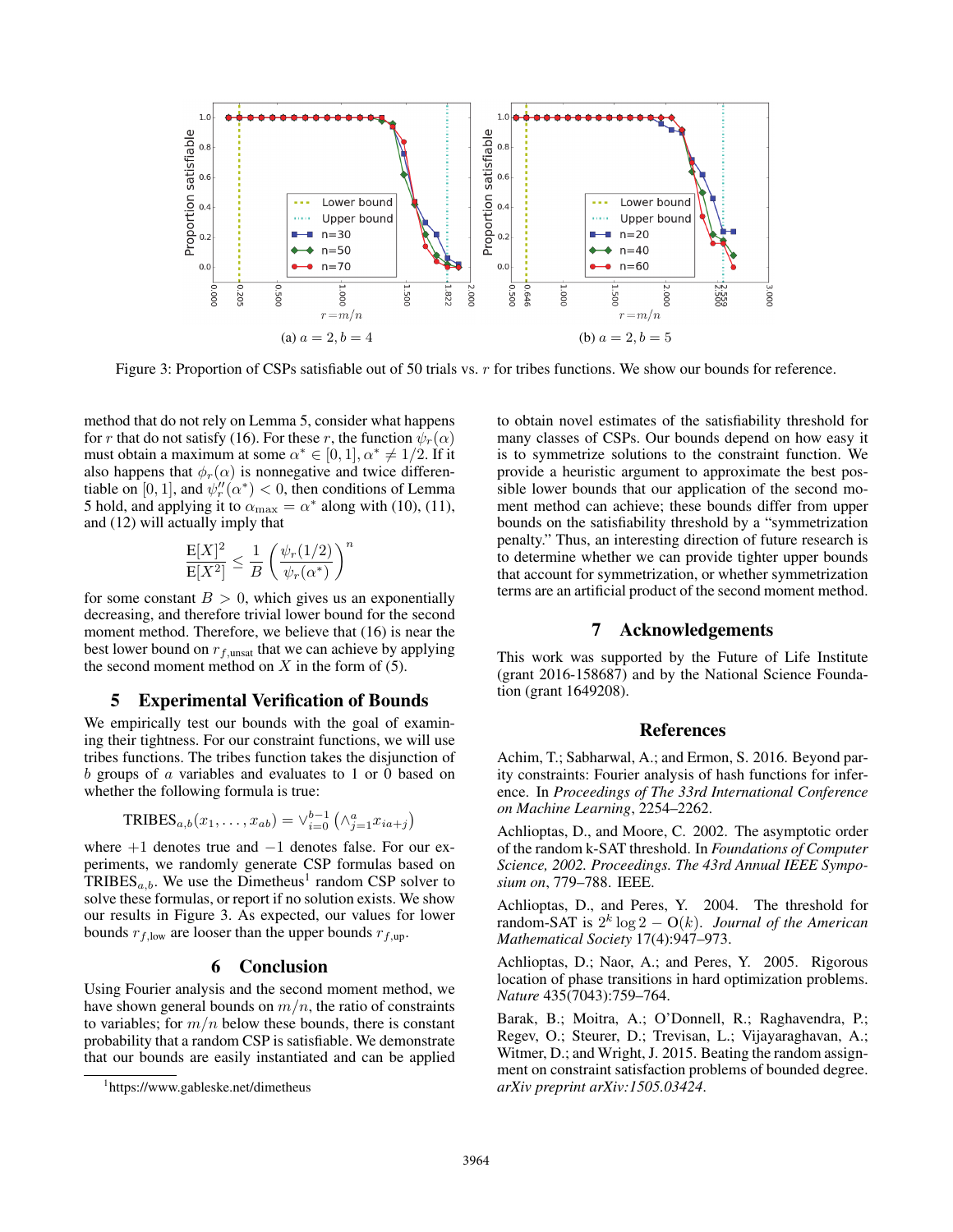

Figure 3: Proportion of CSPs satisfiable out of 50 trials vs. r for tribes functions. We show our bounds for reference.

method that do not rely on Lemma 5, consider what happens for r that do not satisfy (16). For these r, the function  $\psi_r(\alpha)$ must obtain a maximum at some  $\alpha^* \in [0, 1], \alpha^* \neq 1/2$ . If it also happens that  $\phi_r(\alpha)$  is nonnegative and twice differentiable on [0, 1], and  $\psi_r''(\alpha^*) < 0$ , then conditions of Lemma 5 hold, and applying it to  $\alpha_{\text{max}} = \alpha^*$  along with (10) (11) 5 hold, and applying it to  $\alpha_{\text{max}} = \alpha^*$  along with (10), (11), and (12) will actually imply that

$$
\frac{E[X]^2}{E[X^2]} \le \frac{1}{B} \left(\frac{\psi_r(1/2)}{\psi_r(\alpha^*)}\right)^n
$$

for some constant  $B > 0$ , which gives us an exponentially decreasing and therefore trivial lower bound for the second decreasing, and therefore trivial lower bound for the second moment method. Therefore, we believe that (16) is near the best lower bound on  $r_{f,\text{unsat}}$  that we can achieve by applying the second moment method on  $X$  in the form of (5).

## 5 Experimental Verification of Bounds

We empirically test our bounds with the goal of examining their tightness. For our constraint functions, we will use tribes functions. The tribes function takes the disjunction of b groups of a variables and evaluates to 1 or 0 based on whether the following formula is true:

$$
TRIBES_{a,b}(x_1,\ldots,x_{ab})=\vee_{i=0}^{b-1}(\wedge_{j=1}^a x_{ia+j})
$$

where +1 denotes true and <sup>−</sup>1 denotes false. For our experiments, we randomly generate CSP formulas based on TRIBES<sub>a, b</sub>. We use the Dimetheus<sup>1</sup> random CSP solver to solve these formulas, or report if no solution exists. We show our results in Figure 3. As expected, our values for lower bounds  $r_{f,low}$  are looser than the upper bounds  $r_{f,up}$ .

## 6 Conclusion

Using Fourier analysis and the second moment method, we have shown general bounds on  $m/n$ , the ratio of constraints to variables; for  $m/n$  below these bounds, there is constant probability that a random CSP is satisfiable. We demonstrate that our bounds are easily instantiated and can be applied to obtain novel estimates of the satisfiability threshold for many classes of CSPs. Our bounds depend on how easy it is to symmetrize solutions to the constraint function. We provide a heuristic argument to approximate the best possible lower bounds that our application of the second moment method can achieve; these bounds differ from upper bounds on the satisfiability threshold by a "symmetrization penalty." Thus, an interesting direction of future research is to determine whether we can provide tighter upper bounds that account for symmetrization, or whether symmetrization terms are an artificial product of the second moment method.

### 7 Acknowledgements

This work was supported by the Future of Life Institute (grant 2016-158687) and by the National Science Foundation (grant 1649208).

#### References

Achim, T.; Sabharwal, A.; and Ermon, S. 2016. Beyond parity constraints: Fourier analysis of hash functions for inference. In *Proceedings of The 33rd International Conference on Machine Learning*, 2254–2262.

Achlioptas, D., and Moore, C. 2002. The asymptotic order of the random k-SAT threshold. In *Foundations of Computer Science, 2002. Proceedings. The 43rd Annual IEEE Symposium on*, 779–788. IEEE.

Achlioptas, D., and Peres, Y. 2004. The threshold for random-SAT is  $2^k \log 2 - O(k)$ . *Journal of the American Mathematical Society* 17(4):947–973.

Achlioptas, D.; Naor, A.; and Peres, Y. 2005. Rigorous location of phase transitions in hard optimization problems. *Nature* 435(7043):759–764.

Barak, B.; Moitra, A.; O'Donnell, R.; Raghavendra, P.; Regev, O.; Steurer, D.; Trevisan, L.; Vijayaraghavan, A.; Witmer, D.; and Wright, J. 2015. Beating the random assignment on constraint satisfaction problems of bounded degree. *arXiv preprint arXiv:1505.03424*.

<sup>1</sup> https://www.gableske.net/dimetheus